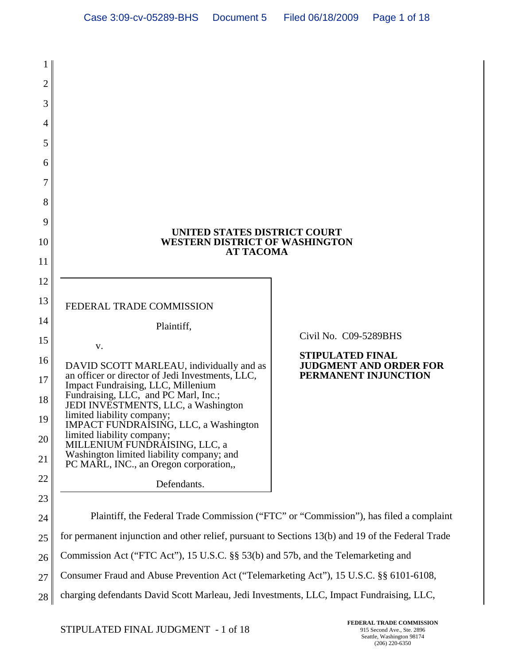| 1        |                                                                                                                                                                                             |                                                       |
|----------|---------------------------------------------------------------------------------------------------------------------------------------------------------------------------------------------|-------------------------------------------------------|
| 2        |                                                                                                                                                                                             |                                                       |
| 3        |                                                                                                                                                                                             |                                                       |
| 4        |                                                                                                                                                                                             |                                                       |
| 5        |                                                                                                                                                                                             |                                                       |
| 6        |                                                                                                                                                                                             |                                                       |
| 7        |                                                                                                                                                                                             |                                                       |
| 8        |                                                                                                                                                                                             |                                                       |
| 9        | UNITED STATES DISTRICT COURT<br><b>WESTERN DISTRICT OF WASHINGTON</b><br><b>AT TACOMA</b>                                                                                                   |                                                       |
| 10       |                                                                                                                                                                                             |                                                       |
| 11       |                                                                                                                                                                                             |                                                       |
| 12       |                                                                                                                                                                                             |                                                       |
| 13       | FEDERAL TRADE COMMISSION                                                                                                                                                                    |                                                       |
| 14       | Plaintiff,                                                                                                                                                                                  | Civil No. C09-5289BHS                                 |
| 15       | V.                                                                                                                                                                                          | <b>STIPULATED FINAL</b>                               |
| 16       | DAVID SCOTT MARLEAU, individually and as<br>an officer or director of Jedi Investments, LLC,                                                                                                | <b>JUDGMENT AND ORDER FOR</b><br>PERMANENT INJUNCTION |
| 17       | Impact Fundraising, LLC, Millenium<br>Fundraising, LLC, and PC Marl, Inc.;                                                                                                                  |                                                       |
| 18       | JEDI INVESTMENTS, LLC, a Washington<br>limited liability company;                                                                                                                           |                                                       |
| 19       | IMPACT FUNDRAISING, LLC, a Washington<br>limited liability company;                                                                                                                         |                                                       |
| 20       | MILLENIUM FUNDRAISING, LLC, a<br>Washington limited liability company; and                                                                                                                  |                                                       |
| 21       | PC MARL, INC., an Oregon corporation,                                                                                                                                                       |                                                       |
| 22       | Defendants.                                                                                                                                                                                 |                                                       |
| 23       |                                                                                                                                                                                             |                                                       |
| 24       | Plaintiff, the Federal Trade Commission ("FTC" or "Commission"), has filed a complaint<br>for permanent injunction and other relief, pursuant to Sections 13(b) and 19 of the Federal Trade |                                                       |
| 25       | Commission Act ("FTC Act"), 15 U.S.C. §§ 53(b) and 57b, and the Telemarketing and                                                                                                           |                                                       |
| 26<br>27 | Consumer Fraud and Abuse Prevention Act ("Telemarketing Act"), 15 U.S.C. §§ 6101-6108,                                                                                                      |                                                       |
|          | charging defendants David Scott Marleau, Jedi Investments, LLC, Impact Fundraising, LLC,                                                                                                    |                                                       |
| 28       |                                                                                                                                                                                             |                                                       |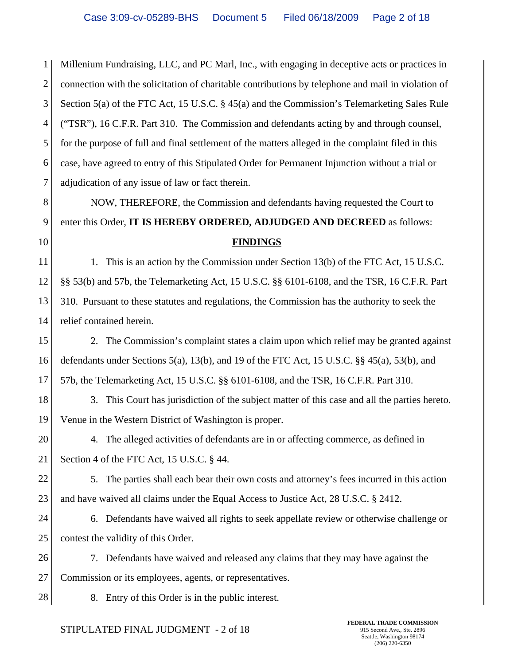1 2 3 4 5 6 7 Millenium Fundraising, LLC, and PC Marl, Inc., with engaging in deceptive acts or practices in connection with the solicitation of charitable contributions by telephone and mail in violation of Section 5(a) of the FTC Act, 15 U.S.C. § 45(a) and the Commission's Telemarketing Sales Rule ("TSR"), 16 C.F.R. Part 310. The Commission and defendants acting by and through counsel, for the purpose of full and final settlement of the matters alleged in the complaint filed in this case, have agreed to entry of this Stipulated Order for Permanent Injunction without a trial or adjudication of any issue of law or fact therein.

8 9 10 NOW, THEREFORE, the Commission and defendants having requested the Court to enter this Order, **IT IS HEREBY ORDERED, ADJUDGED AND DECREED** as follows: **FINDINGS**

11 12 13 14 1. This is an action by the Commission under Section 13(b) of the FTC Act, 15 U.S.C. §§ 53(b) and 57b, the Telemarketing Act, 15 U.S.C. §§ 6101-6108, and the TSR, 16 C.F.R. Part 310. Pursuant to these statutes and regulations, the Commission has the authority to seek the relief contained herein.

15 16 17 2. The Commission's complaint states a claim upon which relief may be granted against defendants under Sections 5(a), 13(b), and 19 of the FTC Act, 15 U.S.C.  $\S$  45(a), 53(b), and 57b, the Telemarketing Act, 15 U.S.C. §§ 6101-6108, and the TSR, 16 C.F.R. Part 310.

18 19 3. This Court has jurisdiction of the subject matter of this case and all the parties hereto. Venue in the Western District of Washington is proper.

20 21 4. The alleged activities of defendants are in or affecting commerce, as defined in Section 4 of the FTC Act, 15 U.S.C. § 44.

22 23 5. The parties shall each bear their own costs and attorney's fees incurred in this action and have waived all claims under the Equal Access to Justice Act, 28 U.S.C. § 2412.

24 25 6. Defendants have waived all rights to seek appellate review or otherwise challenge or contest the validity of this Order.

26 27 7. Defendants have waived and released any claims that they may have against the Commission or its employees, agents, or representatives.

28 8. Entry of this Order is in the public interest.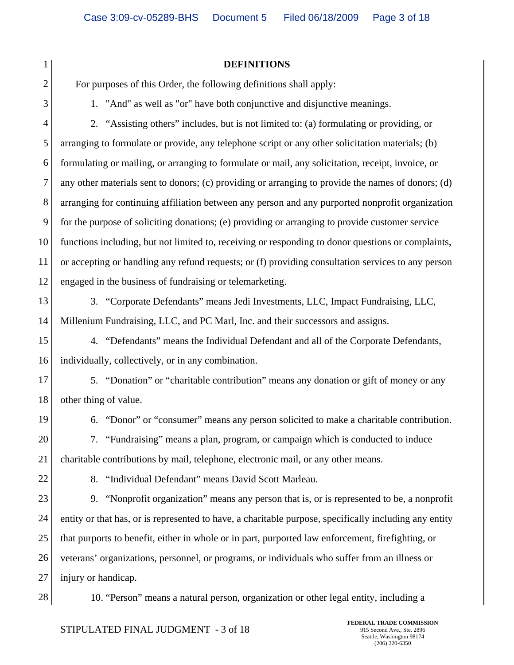| 1              | <b>DEFINITIONS</b>                                                                                     |  |  |
|----------------|--------------------------------------------------------------------------------------------------------|--|--|
| $\overline{2}$ | For purposes of this Order, the following definitions shall apply:                                     |  |  |
| 3              | 1. "And" as well as "or" have both conjunctive and disjunctive meanings.                               |  |  |
| $\overline{4}$ | 2. "Assisting others" includes, but is not limited to: (a) formulating or providing, or                |  |  |
| 5              | arranging to formulate or provide, any telephone script or any other solicitation materials; (b)       |  |  |
| 6              | formulating or mailing, or arranging to formulate or mail, any solicitation, receipt, invoice, or      |  |  |
| 7              | any other materials sent to donors; (c) providing or arranging to provide the names of donors; (d)     |  |  |
| $8\,$          | arranging for continuing affiliation between any person and any purported nonprofit organization       |  |  |
| 9              | for the purpose of soliciting donations; (e) providing or arranging to provide customer service        |  |  |
| 10             | functions including, but not limited to, receiving or responding to donor questions or complaints,     |  |  |
| 11             | or accepting or handling any refund requests; or (f) providing consultation services to any person     |  |  |
| 12             | engaged in the business of fundraising or telemarketing.                                               |  |  |
| 13             | 3. "Corporate Defendants" means Jedi Investments, LLC, Impact Fundraising, LLC,                        |  |  |
| 14             | Millenium Fundraising, LLC, and PC Marl, Inc. and their successors and assigns.                        |  |  |
| 15             | 4. "Defendants" means the Individual Defendant and all of the Corporate Defendants,                    |  |  |
| 16             | individually, collectively, or in any combination.                                                     |  |  |
| 17             | 5. "Donation" or "charitable contribution" means any donation or gift of money or any                  |  |  |
| 18             | other thing of value.                                                                                  |  |  |
| 19             | 6. "Donor" or "consumer" means any person solicited to make a charitable contribution.                 |  |  |
| 20             | 7. "Fundraising" means a plan, program, or campaign which is conducted to induce                       |  |  |
| 21             | charitable contributions by mail, telephone, electronic mail, or any other means.                      |  |  |
| 22             | 8. "Individual Defendant" means David Scott Marleau.                                                   |  |  |
| 23             | 9. "Nonprofit organization" means any person that is, or is represented to be, a nonprofit             |  |  |
| 24             | entity or that has, or is represented to have, a charitable purpose, specifically including any entity |  |  |
| 25             | that purports to benefit, either in whole or in part, purported law enforcement, firefighting, or      |  |  |
| 26             | veterans' organizations, personnel, or programs, or individuals who suffer from an illness or          |  |  |
| 27             | injury or handicap.                                                                                    |  |  |
| 28             | 10. "Person" means a natural person, organization or other legal entity, including a                   |  |  |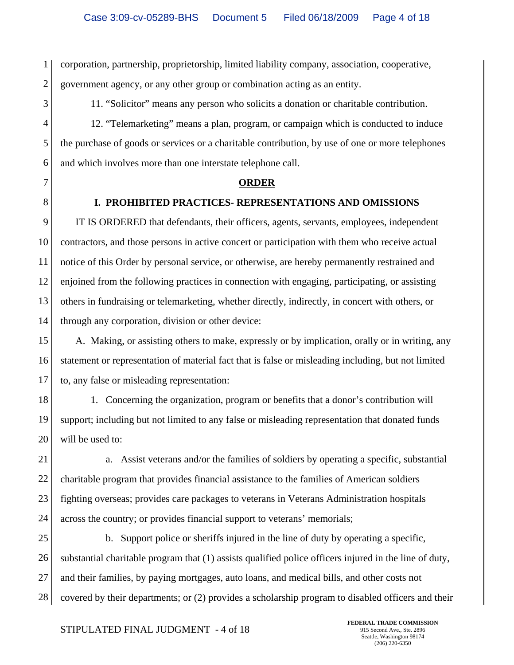1 2 corporation, partnership, proprietorship, limited liability company, association, cooperative, government agency, or any other group or combination acting as an entity.

3 4

11. "Solicitor" means any person who solicits a donation or charitable contribution.

5 6 12. "Telemarketing" means a plan, program, or campaign which is conducted to induce the purchase of goods or services or a charitable contribution, by use of one or more telephones and which involves more than one interstate telephone call.

- 7
- 8

## **I. PROHIBITED PRACTICES- REPRESENTATIONS AND OMISSIONS**

**ORDER**

9 10 11 12 13 14 IT IS ORDERED that defendants, their officers, agents, servants, employees, independent contractors, and those persons in active concert or participation with them who receive actual notice of this Order by personal service, or otherwise, are hereby permanently restrained and enjoined from the following practices in connection with engaging, participating, or assisting others in fundraising or telemarketing, whether directly, indirectly, in concert with others, or through any corporation, division or other device:

15 16 17 A. Making, or assisting others to make, expressly or by implication, orally or in writing, any statement or representation of material fact that is false or misleading including, but not limited to, any false or misleading representation:

18 19 20 1. Concerning the organization, program or benefits that a donor's contribution will support; including but not limited to any false or misleading representation that donated funds will be used to:

21 22 23 24 a. Assist veterans and/or the families of soldiers by operating a specific, substantial charitable program that provides financial assistance to the families of American soldiers fighting overseas; provides care packages to veterans in Veterans Administration hospitals across the country; or provides financial support to veterans' memorials;

25 26 27 28 b. Support police or sheriffs injured in the line of duty by operating a specific, substantial charitable program that (1) assists qualified police officers injured in the line of duty, and their families, by paying mortgages, auto loans, and medical bills, and other costs not covered by their departments; or (2) provides a scholarship program to disabled officers and their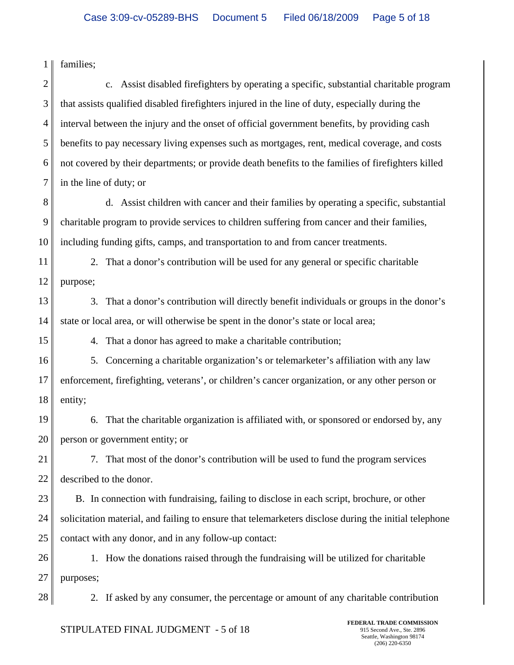1 families;

2 3 4 5 6 7 c. Assist disabled firefighters by operating a specific, substantial charitable program that assists qualified disabled firefighters injured in the line of duty, especially during the interval between the injury and the onset of official government benefits, by providing cash benefits to pay necessary living expenses such as mortgages, rent, medical coverage, and costs not covered by their departments; or provide death benefits to the families of firefighters killed in the line of duty; or

- 8 9 10 d. Assist children with cancer and their families by operating a specific, substantial charitable program to provide services to children suffering from cancer and their families, including funding gifts, camps, and transportation to and from cancer treatments.
- 11 12 2. That a donor's contribution will be used for any general or specific charitable purpose;
- 13 14 3. That a donor's contribution will directly benefit individuals or groups in the donor's state or local area, or will otherwise be spent in the donor's state or local area;

4. That a donor has agreed to make a charitable contribution;

16 17 18 5. Concerning a charitable organization's or telemarketer's affiliation with any law enforcement, firefighting, veterans', or children's cancer organization, or any other person or entity;

19 20 6. That the charitable organization is affiliated with, or sponsored or endorsed by, any person or government entity; or

21 22 7. That most of the donor's contribution will be used to fund the program services described to the donor.

23 24 25 B. In connection with fundraising, failing to disclose in each script, brochure, or other solicitation material, and failing to ensure that telemarketers disclose during the initial telephone contact with any donor, and in any follow-up contact:

26 27 1. How the donations raised through the fundraising will be utilized for charitable purposes;

28

15

2. If asked by any consumer, the percentage or amount of any charitable contribution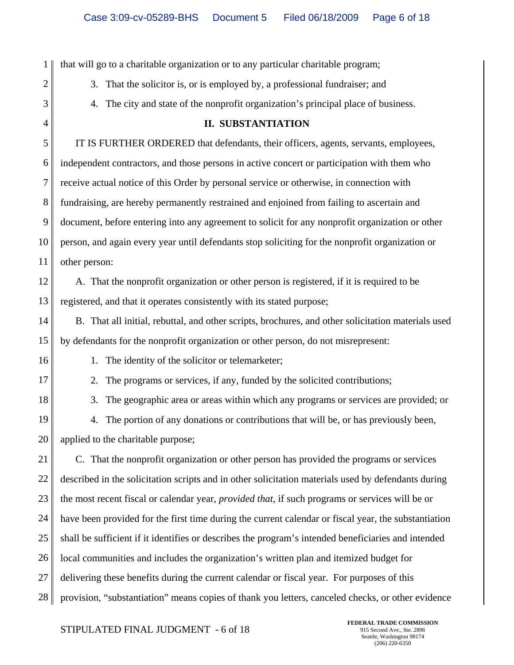1 2 3 4 5 6 7 8 9 10 11 12 13 14 15 16 17 18 19 20 21 22 23 24 25 26 27 28 that will go to a charitable organization or to any particular charitable program; 3. That the solicitor is, or is employed by, a professional fundraiser; and 4. The city and state of the nonprofit organization's principal place of business. **II. SUBSTANTIATION** IT IS FURTHER ORDERED that defendants, their officers, agents, servants, employees, independent contractors, and those persons in active concert or participation with them who receive actual notice of this Order by personal service or otherwise, in connection with fundraising, are hereby permanently restrained and enjoined from failing to ascertain and document, before entering into any agreement to solicit for any nonprofit organization or other person, and again every year until defendants stop soliciting for the nonprofit organization or other person: A. That the nonprofit organization or other person is registered, if it is required to be registered, and that it operates consistently with its stated purpose; B. That all initial, rebuttal, and other scripts, brochures, and other solicitation materials used by defendants for the nonprofit organization or other person, do not misrepresent: 1. The identity of the solicitor or telemarketer; 2. The programs or services, if any, funded by the solicited contributions; 3. The geographic area or areas within which any programs or services are provided; or 4. The portion of any donations or contributions that will be, or has previously been, applied to the charitable purpose; C. That the nonprofit organization or other person has provided the programs or services described in the solicitation scripts and in other solicitation materials used by defendants during the most recent fiscal or calendar year, *provided that,* if such programs or services will be or have been provided for the first time during the current calendar or fiscal year, the substantiation shall be sufficient if it identifies or describes the program's intended beneficiaries and intended local communities and includes the organization's written plan and itemized budget for delivering these benefits during the current calendar or fiscal year. For purposes of this provision, "substantiation" means copies of thank you letters, canceled checks, or other evidence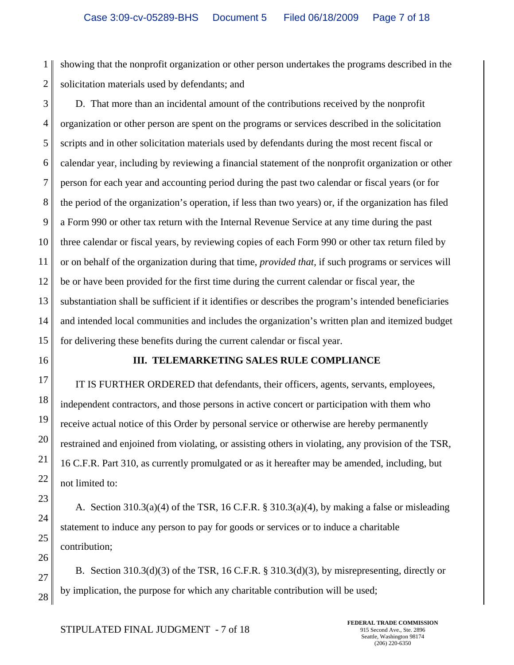1 2 showing that the nonprofit organization or other person undertakes the programs described in the solicitation materials used by defendants; and

3 4 5 6 7 8 9 10 11 12 13 14 15 D. That more than an incidental amount of the contributions received by the nonprofit organization or other person are spent on the programs or services described in the solicitation scripts and in other solicitation materials used by defendants during the most recent fiscal or calendar year, including by reviewing a financial statement of the nonprofit organization or other person for each year and accounting period during the past two calendar or fiscal years (or for the period of the organization's operation, if less than two years) or, if the organization has filed a Form 990 or other tax return with the Internal Revenue Service at any time during the past three calendar or fiscal years, by reviewing copies of each Form 990 or other tax return filed by or on behalf of the organization during that time, *provided that,* if such programs or services will be or have been provided for the first time during the current calendar or fiscal year, the substantiation shall be sufficient if it identifies or describes the program's intended beneficiaries and intended local communities and includes the organization's written plan and itemized budget for delivering these benefits during the current calendar or fiscal year.

16

17

18

19

20

21

22

23

24

25

26

27

28

#### **III. TELEMARKETING SALES RULE COMPLIANCE**

IT IS FURTHER ORDERED that defendants, their officers, agents, servants, employees, independent contractors, and those persons in active concert or participation with them who receive actual notice of this Order by personal service or otherwise are hereby permanently restrained and enjoined from violating, or assisting others in violating, any provision of the TSR, 16 C.F.R. Part 310, as currently promulgated or as it hereafter may be amended, including, but not limited to:

A. Section 310.3(a)(4) of the TSR, 16 C.F.R. § 310.3(a)(4), by making a false or misleading statement to induce any person to pay for goods or services or to induce a charitable contribution;

B. Section  $310.3(d)(3)$  of the TSR, 16 C.F.R. §  $310.3(d)(3)$ , by misrepresenting, directly or by implication, the purpose for which any charitable contribution will be used;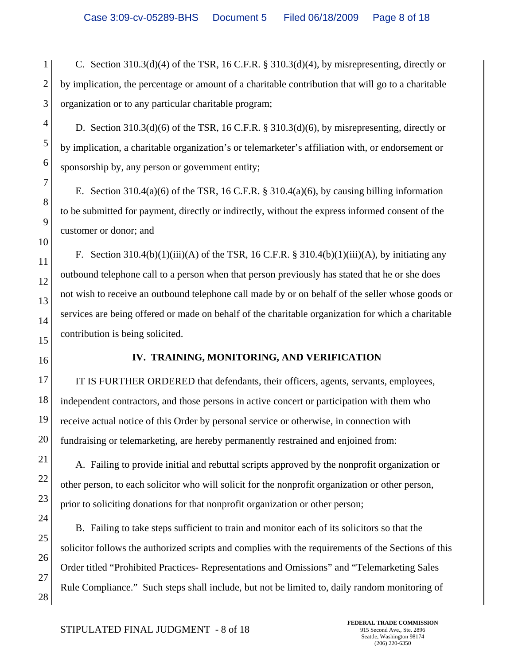1 2 3 C. Section  $310.3(d)(4)$  of the TSR, 16 C.F.R. §  $310.3(d)(4)$ , by misrepresenting, directly or by implication, the percentage or amount of a charitable contribution that will go to a charitable organization or to any particular charitable program;

D. Section  $310.3(d)(6)$  of the TSR, 16 C.F.R. §  $310.3(d)(6)$ , by misrepresenting, directly or by implication, a charitable organization's or telemarketer's affiliation with, or endorsement or sponsorship by, any person or government entity;

E. Section 310.4(a)(6) of the TSR, 16 C.F.R.  $\S$  310.4(a)(6), by causing billing information to be submitted for payment, directly or indirectly, without the express informed consent of the customer or donor; and

F. Section  $310.4(b)(1)(iii)(A)$  of the TSR, 16 C.F.R. §  $310.4(b)(1)(iii)(A)$ , by initiating any outbound telephone call to a person when that person previously has stated that he or she does not wish to receive an outbound telephone call made by or on behalf of the seller whose goods or services are being offered or made on behalf of the charitable organization for which a charitable contribution is being solicited.

16

17

20

21

22

23

24

25

26

27

28

15

4

5

6

7

8

9

10

11

12

13

14

## **IV. TRAINING, MONITORING, AND VERIFICATION**

18 19 IT IS FURTHER ORDERED that defendants, their officers, agents, servants, employees, independent contractors, and those persons in active concert or participation with them who receive actual notice of this Order by personal service or otherwise, in connection with fundraising or telemarketing, are hereby permanently restrained and enjoined from:

A. Failing to provide initial and rebuttal scripts approved by the nonprofit organization or other person, to each solicitor who will solicit for the nonprofit organization or other person, prior to soliciting donations for that nonprofit organization or other person;

B. Failing to take steps sufficient to train and monitor each of its solicitors so that the solicitor follows the authorized scripts and complies with the requirements of the Sections of this Order titled "Prohibited Practices- Representations and Omissions" and "Telemarketing Sales Rule Compliance." Such steps shall include, but not be limited to, daily random monitoring of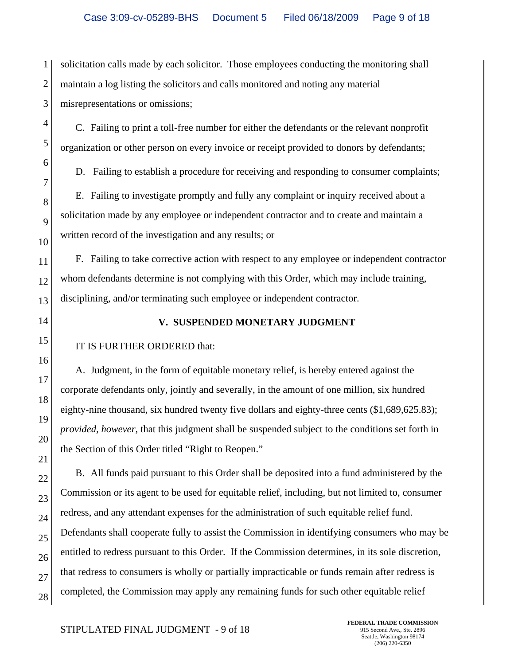1 2 3 solicitation calls made by each solicitor. Those employees conducting the monitoring shall maintain a log listing the solicitors and calls monitored and noting any material misrepresentations or omissions;

C. Failing to print a toll-free number for either the defendants or the relevant nonprofit organization or other person on every invoice or receipt provided to donors by defendants;

D. Failing to establish a procedure for receiving and responding to consumer complaints;

E. Failing to investigate promptly and fully any complaint or inquiry received about a solicitation made by any employee or independent contractor and to create and maintain a written record of the investigation and any results; or

11 12 13 F. Failing to take corrective action with respect to any employee or independent contractor whom defendants determine is not complying with this Order, which may include training, disciplining, and/or terminating such employee or independent contractor.

14

15

16

17

18

19

20

21

27

4

5

6

7

8

9

10

## **V. SUSPENDED MONETARY JUDGMENT**

## IT IS FURTHER ORDERED that:

A. Judgment, in the form of equitable monetary relief, is hereby entered against the corporate defendants only, jointly and severally, in the amount of one million, six hundred eighty-nine thousand, six hundred twenty five dollars and eighty-three cents (\$1,689,625.83); *provided, however,* that this judgment shall be suspended subject to the conditions set forth in the Section of this Order titled "Right to Reopen."

22 23 24 25 26 28 B. All funds paid pursuant to this Order shall be deposited into a fund administered by the Commission or its agent to be used for equitable relief, including, but not limited to, consumer redress, and any attendant expenses for the administration of such equitable relief fund. Defendants shall cooperate fully to assist the Commission in identifying consumers who may be entitled to redress pursuant to this Order. If the Commission determines, in its sole discretion, that redress to consumers is wholly or partially impracticable or funds remain after redress is completed, the Commission may apply any remaining funds for such other equitable relief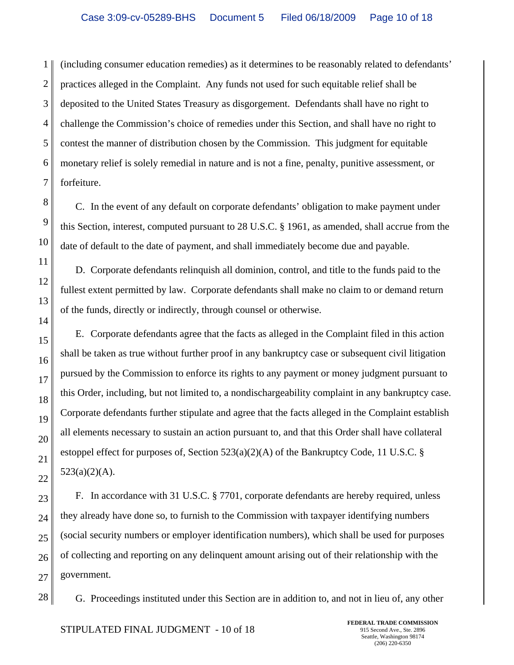1 2 3 (including consumer education remedies) as it determines to be reasonably related to defendants' practices alleged in the Complaint. Any funds not used for such equitable relief shall be deposited to the United States Treasury as disgorgement. Defendants shall have no right to challenge the Commission's choice of remedies under this Section, and shall have no right to contest the manner of distribution chosen by the Commission. This judgment for equitable monetary relief is solely remedial in nature and is not a fine, penalty, punitive assessment, or forfeiture.

C. In the event of any default on corporate defendants' obligation to make payment under this Section, interest, computed pursuant to 28 U.S.C. § 1961, as amended, shall accrue from the date of default to the date of payment, and shall immediately become due and payable.

D. Corporate defendants relinquish all dominion, control, and title to the funds paid to the fullest extent permitted by law. Corporate defendants shall make no claim to or demand return of the funds, directly or indirectly, through counsel or otherwise.

E. Corporate defendants agree that the facts as alleged in the Complaint filed in this action shall be taken as true without further proof in any bankruptcy case or subsequent civil litigation pursued by the Commission to enforce its rights to any payment or money judgment pursuant to this Order, including, but not limited to, a nondischargeability complaint in any bankruptcy case. Corporate defendants further stipulate and agree that the facts alleged in the Complaint establish all elements necessary to sustain an action pursuant to, and that this Order shall have collateral estoppel effect for purposes of, Section 523(a)(2)(A) of the Bankruptcy Code, 11 U.S.C. §  $523(a)(2)(A)$ .

F. In accordance with 31 U.S.C. § 7701, corporate defendants are hereby required, unless they already have done so, to furnish to the Commission with taxpayer identifying numbers (social security numbers or employer identification numbers), which shall be used for purposes of collecting and reporting on any delinquent amount arising out of their relationship with the government.

G. Proceedings instituted under this Section are in addition to, and not in lieu of, any other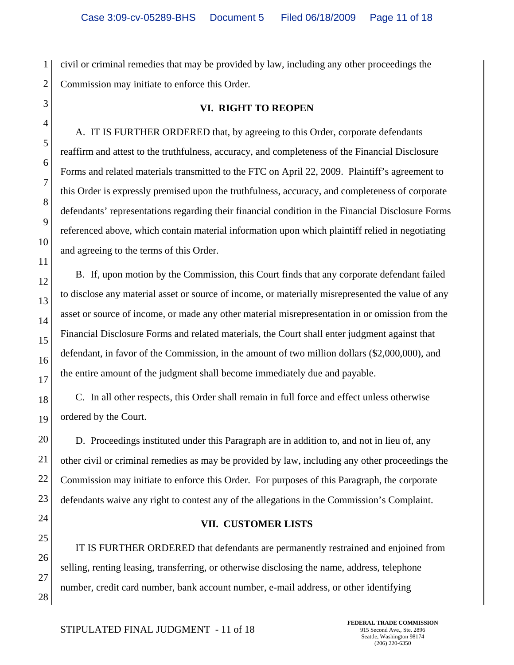**VI. RIGHT TO REOPEN**

1 2 civil or criminal remedies that may be provided by law, including any other proceedings the Commission may initiate to enforce this Order.

A. IT IS FURTHER ORDERED that, by agreeing to this Order, corporate defendants reaffirm and attest to the truthfulness, accuracy, and completeness of the Financial Disclosure Forms and related materials transmitted to the FTC on April 22, 2009. Plaintiff's agreement to this Order is expressly premised upon the truthfulness, accuracy, and completeness of corporate defendants' representations regarding their financial condition in the Financial Disclosure Forms referenced above, which contain material information upon which plaintiff relied in negotiating and agreeing to the terms of this Order.

B. If, upon motion by the Commission, this Court finds that any corporate defendant failed to disclose any material asset or source of income, or materially misrepresented the value of any asset or source of income, or made any other material misrepresentation in or omission from the Financial Disclosure Forms and related materials, the Court shall enter judgment against that defendant, in favor of the Commission, in the amount of two million dollars (\$2,000,000), and the entire amount of the judgment shall become immediately due and payable.

C. In all other respects, this Order shall remain in full force and effect unless otherwise ordered by the Court.

D. Proceedings instituted under this Paragraph are in addition to, and not in lieu of, any other civil or criminal remedies as may be provided by law, including any other proceedings the Commission may initiate to enforce this Order. For purposes of this Paragraph, the corporate defendants waive any right to contest any of the allegations in the Commission's Complaint.

## **VII. CUSTOMER LISTS**

IT IS FURTHER ORDERED that defendants are permanently restrained and enjoined from selling, renting leasing, transferring, or otherwise disclosing the name, address, telephone number, credit card number, bank account number, e-mail address, or other identifying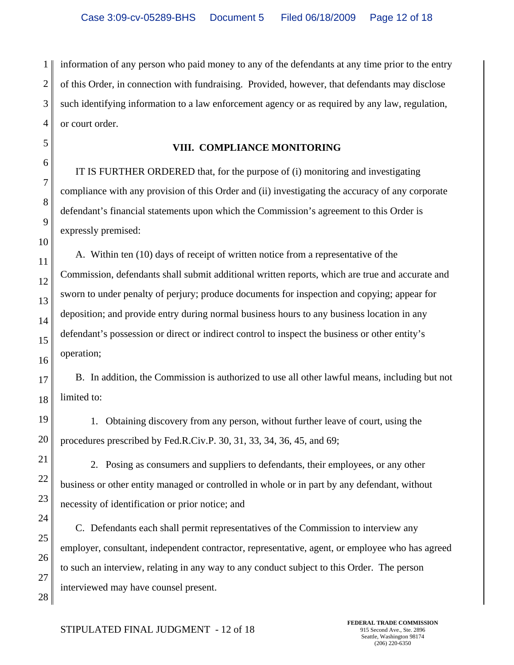1 2 3 4 information of any person who paid money to any of the defendants at any time prior to the entry of this Order, in connection with fundraising. Provided, however, that defendants may disclose such identifying information to a law enforcement agency or as required by any law, regulation, or court order.

## **VIII. COMPLIANCE MONITORING**

IT IS FURTHER ORDERED that, for the purpose of (i) monitoring and investigating compliance with any provision of this Order and (ii) investigating the accuracy of any corporate defendant's financial statements upon which the Commission's agreement to this Order is expressly premised:

A. Within ten (10) days of receipt of written notice from a representative of the Commission, defendants shall submit additional written reports, which are true and accurate and sworn to under penalty of perjury; produce documents for inspection and copying; appear for deposition; and provide entry during normal business hours to any business location in any defendant's possession or direct or indirect control to inspect the business or other entity's operation;

B. In addition, the Commission is authorized to use all other lawful means, including but not limited to:

1. Obtaining discovery from any person, without further leave of court, using the procedures prescribed by Fed.R.Civ.P. 30, 31, 33, 34, 36, 45, and 69;

2. Posing as consumers and suppliers to defendants, their employees, or any other business or other entity managed or controlled in whole or in part by any defendant, without necessity of identification or prior notice; and

C. Defendants each shall permit representatives of the Commission to interview any employer, consultant, independent contractor, representative, agent, or employee who has agreed to such an interview, relating in any way to any conduct subject to this Order. The person interviewed may have counsel present.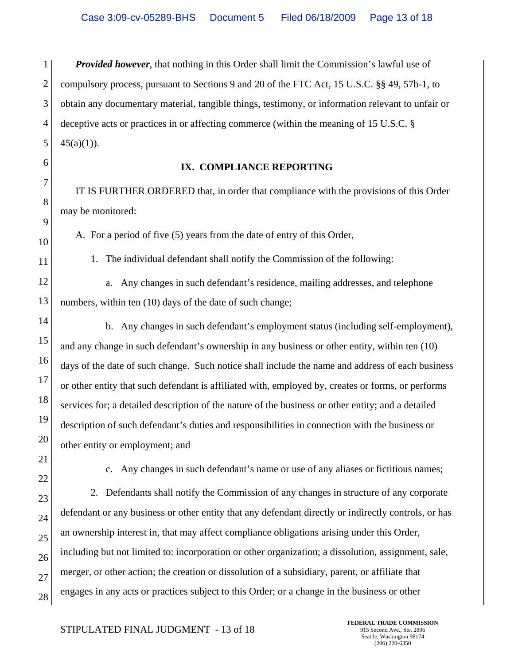1 2 3 4 *Provided however*, that nothing in this Order shall limit the Commission's lawful use of compulsory process, pursuant to Sections 9 and 20 of the FTC Act, 15 U.S.C. §§ 49, 57b-1, to obtain any documentary material, tangible things, testimony, or information relevant to unfair or deceptive acts or practices in or affecting commerce (within the meaning of 15 U.S.C. §  $45(a)(1)$ ).

28

#### **IX. COMPLIANCE REPORTING**

IT IS FURTHER ORDERED that, in order that compliance with the provisions of this Order may be monitored:

A. For a period of five (5) years from the date of entry of this Order,

1. The individual defendant shall notify the Commission of the following:

a. Any changes in such defendant's residence, mailing addresses, and telephone numbers, within ten (10) days of the date of such change;

b. Any changes in such defendant's employment status (including self-employment), and any change in such defendant's ownership in any business or other entity, within ten (10) days of the date of such change. Such notice shall include the name and address of each business or other entity that such defendant is affiliated with, employed by, creates or forms, or performs services for; a detailed description of the nature of the business or other entity; and a detailed description of such defendant's duties and responsibilities in connection with the business or other entity or employment; and

c. Any changes in such defendant's name or use of any aliases or fictitious names;

2. Defendants shall notify the Commission of any changes in structure of any corporate defendant or any business or other entity that any defendant directly or indirectly controls, or has an ownership interest in, that may affect compliance obligations arising under this Order, including but not limited to: incorporation or other organization; a dissolution, assignment, sale, merger, or other action; the creation or dissolution of a subsidiary, parent, or affiliate that engages in any acts or practices subject to this Order; or a change in the business or other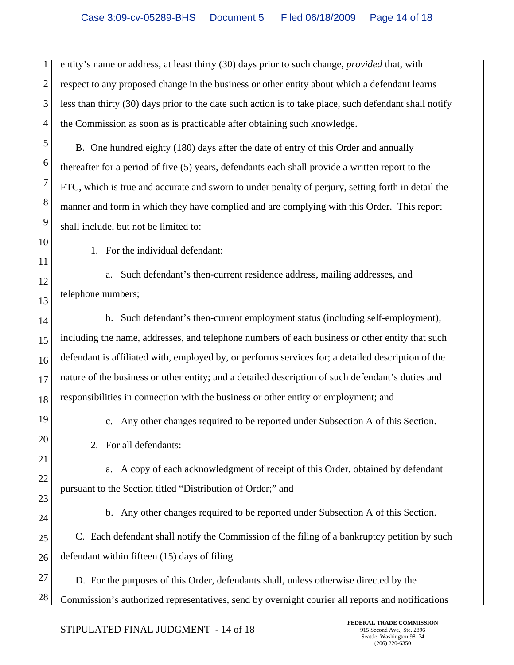1 2 3 4 entity's name or address, at least thirty (30) days prior to such change, *provided* that, with respect to any proposed change in the business or other entity about which a defendant learns less than thirty (30) days prior to the date such action is to take place, such defendant shall notify the Commission as soon as is practicable after obtaining such knowledge.

B. One hundred eighty (180) days after the date of entry of this Order and annually thereafter for a period of five (5) years, defendants each shall provide a written report to the FTC, which is true and accurate and sworn to under penalty of perjury, setting forth in detail the manner and form in which they have complied and are complying with this Order. This report shall include, but not be limited to:

1. For the individual defendant:

a. Such defendant's then-current residence address, mailing addresses, and telephone numbers;

14 15 16 17 18 b. Such defendant's then-current employment status (including self-employment), including the name, addresses, and telephone numbers of each business or other entity that such defendant is affiliated with, employed by, or performs services for; a detailed description of the nature of the business or other entity; and a detailed description of such defendant's duties and responsibilities in connection with the business or other entity or employment; and

19

20

21

5

6

7

8

9

10

11

12

13

c. Any other changes required to be reported under Subsection A of this Section.

2. For all defendants:

22 a. A copy of each acknowledgment of receipt of this Order, obtained by defendant pursuant to the Section titled "Distribution of Order;" and

23 24

b. Any other changes required to be reported under Subsection A of this Section.

25 26 C. Each defendant shall notify the Commission of the filing of a bankruptcy petition by such defendant within fifteen (15) days of filing.

27 28 D. For the purposes of this Order, defendants shall, unless otherwise directed by the Commission's authorized representatives, send by overnight courier all reports and notifications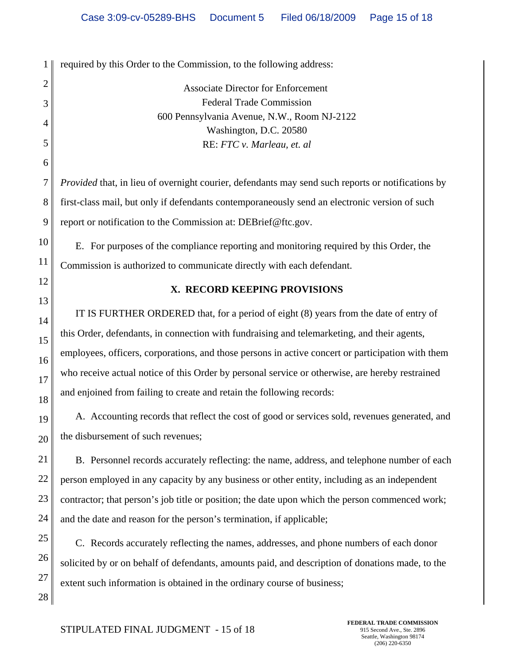1 2 3 4 5 6 7 8 9 10 11 12 13 14 15 16 17 18 19 20 21 22 23 24 25 26 27 required by this Order to the Commission, to the following address: Associate Director for Enforcement Federal Trade Commission 600 Pennsylvania Avenue, N.W., Room NJ-2122 Washington, D.C. 20580 RE: *FTC v. Marleau, et. al Provided* that, in lieu of overnight courier, defendants may send such reports or notifications by first-class mail, but only if defendants contemporaneously send an electronic version of such report or notification to the Commission at: DEBrief@ftc.gov. E. For purposes of the compliance reporting and monitoring required by this Order, the Commission is authorized to communicate directly with each defendant. **X. RECORD KEEPING PROVISIONS** IT IS FURTHER ORDERED that, for a period of eight (8) years from the date of entry of this Order, defendants, in connection with fundraising and telemarketing, and their agents, employees, officers, corporations, and those persons in active concert or participation with them who receive actual notice of this Order by personal service or otherwise, are hereby restrained and enjoined from failing to create and retain the following records: A. Accounting records that reflect the cost of good or services sold, revenues generated, and the disbursement of such revenues; B. Personnel records accurately reflecting: the name, address, and telephone number of each person employed in any capacity by any business or other entity, including as an independent contractor; that person's job title or position; the date upon which the person commenced work; and the date and reason for the person's termination, if applicable; C. Records accurately reflecting the names, addresses, and phone numbers of each donor solicited by or on behalf of defendants, amounts paid, and description of donations made, to the extent such information is obtained in the ordinary course of business;

28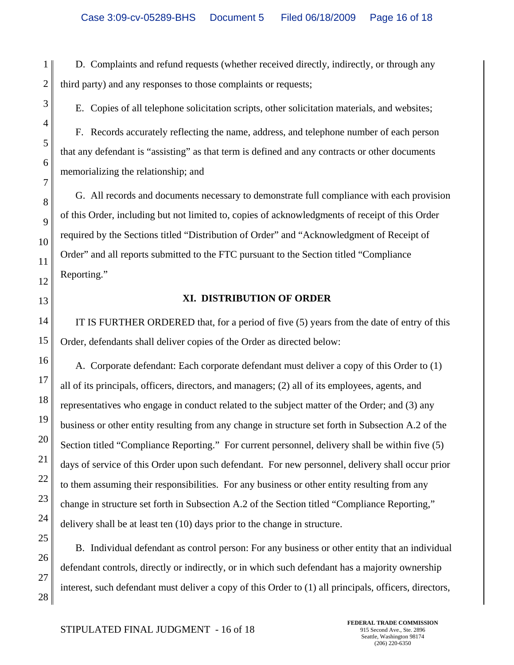D. Complaints and refund requests (whether received directly, indirectly, or through any third party) and any responses to those complaints or requests;

E. Copies of all telephone solicitation scripts, other solicitation materials, and websites;

F. Records accurately reflecting the name, address, and telephone number of each person that any defendant is "assisting" as that term is defined and any contracts or other documents memorializing the relationship; and

G. All records and documents necessary to demonstrate full compliance with each provision of this Order, including but not limited to, copies of acknowledgments of receipt of this Order required by the Sections titled "Distribution of Order" and "Acknowledgment of Receipt of Order" and all reports submitted to the FTC pursuant to the Section titled "Compliance Reporting."

#### **XI. DISTRIBUTION OF ORDER**

IT IS FURTHER ORDERED that, for a period of five (5) years from the date of entry of this Order, defendants shall deliver copies of the Order as directed below:

A. Corporate defendant: Each corporate defendant must deliver a copy of this Order to (1) all of its principals, officers, directors, and managers; (2) all of its employees, agents, and representatives who engage in conduct related to the subject matter of the Order; and (3) any business or other entity resulting from any change in structure set forth in Subsection A.2 of the Section titled "Compliance Reporting." For current personnel, delivery shall be within five (5) days of service of this Order upon such defendant. For new personnel, delivery shall occur prior to them assuming their responsibilities. For any business or other entity resulting from any change in structure set forth in Subsection A.2 of the Section titled "Compliance Reporting," delivery shall be at least ten (10) days prior to the change in structure.

B. Individual defendant as control person: For any business or other entity that an individual defendant controls, directly or indirectly, or in which such defendant has a majority ownership interest, such defendant must deliver a copy of this Order to (1) all principals, officers, directors,

1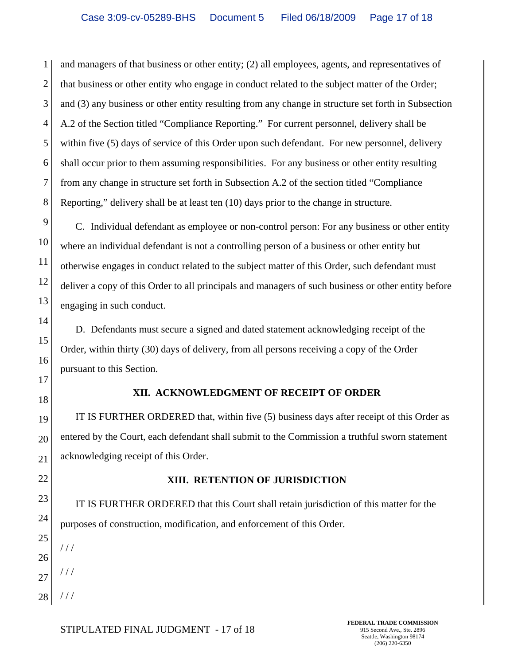1 2 3 4 5 6 7 8 and managers of that business or other entity; (2) all employees, agents, and representatives of that business or other entity who engage in conduct related to the subject matter of the Order; and (3) any business or other entity resulting from any change in structure set forth in Subsection A.2 of the Section titled "Compliance Reporting." For current personnel, delivery shall be within five (5) days of service of this Order upon such defendant. For new personnel, delivery shall occur prior to them assuming responsibilities. For any business or other entity resulting from any change in structure set forth in Subsection A.2 of the section titled "Compliance Reporting," delivery shall be at least ten (10) days prior to the change in structure.

9 10 11 12 13 C. Individual defendant as employee or non-control person: For any business or other entity where an individual defendant is not a controlling person of a business or other entity but otherwise engages in conduct related to the subject matter of this Order, such defendant must deliver a copy of this Order to all principals and managers of such business or other entity before engaging in such conduct.

D. Defendants must secure a signed and dated statement acknowledging receipt of the Order, within thirty (30) days of delivery, from all persons receiving a copy of the Order pursuant to this Section.

17 18

14

15

16

## **XII. ACKNOWLEDGMENT OF RECEIPT OF ORDER**

19 20 21 IT IS FURTHER ORDERED that, within five (5) business days after receipt of this Order as entered by the Court, each defendant shall submit to the Commission a truthful sworn statement acknowledging receipt of this Order.

 $1/1$ 

/ / /

/ / /

# **XIII. RETENTION OF JURISDICTION**

IT IS FURTHER ORDERED that this Court shall retain jurisdiction of this matter for the purposes of construction, modification, and enforcement of this Order.